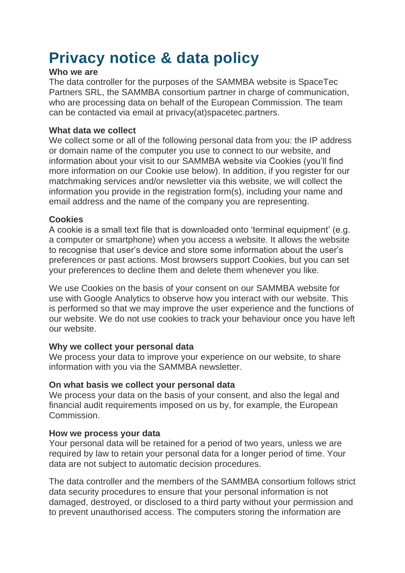# **Privacy notice & data policy**

#### **Who we are**

The data controller for the purposes of the SAMMBA website is SpaceTec Partners SRL, the SAMMBA consortium partner in charge of communication, who are processing data on behalf of the European Commission. The team can be contacted via email at privacy(at)spacetec.partners.

## **What data we collect**

We collect some or all of the following personal data from you: the IP address or domain name of the computer you use to connect to our website, and information about your visit to our SAMMBA website via Cookies (you'll find more information on our Cookie use below). In addition, if you register for our matchmaking services and/or newsletter via this website, we will collect the information you provide in the registration form(s), including your name and email address and the name of the company you are representing.

## **Cookies**

A cookie is a small text file that is downloaded onto 'terminal equipment' (e.g. a computer or smartphone) when you access a website. It allows the website to recognise that user's device and store some information about the user's preferences or past actions. Most browsers support Cookies, but you can set your preferences to decline them and delete them whenever you like.

We use Cookies on the basis of your consent on our SAMMBA website for use with Google Analytics to observe how you interact with our website. This is performed so that we may improve the user experience and the functions of our website. We do not use cookies to track your behaviour once you have left our website.

## **Why we collect your personal data**

We process your data to improve your experience on our website, to share information with you via the SAMMBA newsletter.

## **On what basis we collect your personal data**

We process your data on the basis of your consent, and also the legal and financial audit requirements imposed on us by, for example, the European Commission.

## **How we process your data**

Your personal data will be retained for a period of two years, unless we are required by law to retain your personal data for a longer period of time. Your data are not subject to automatic decision procedures.

The data controller and the members of the SAMMBA consortium follows strict data security procedures to ensure that your personal information is not damaged, destroyed, or disclosed to a third party without your permission and to prevent unauthorised access. The computers storing the information are